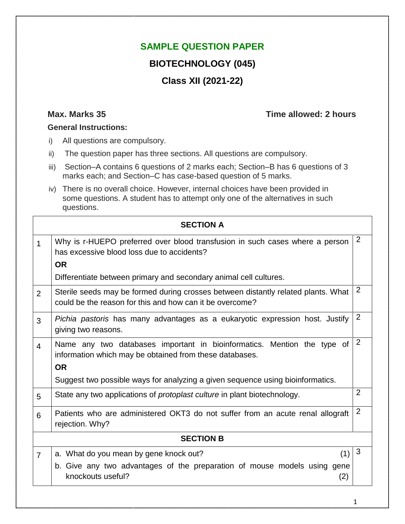## **SAMPLE QUESTION PAPER**

## **BIOTECHNOLOGY (045)**

# **Class XII (2021-22)**

## **Max. Marks 35 Time allowed: 2 hours**

#### **General Instructions:**

- i) All questions are compulsory.
- ii) The question paper has three sections. All questions are compulsory.
- iii) Section–A contains 6 questions of 2 marks each; Section–B has 6 questions of 3 marks each; and Section–C has case-based question of 5 marks.
- iv) There is no overall choice. However, internal choices have been provided in some questions. A student has to attempt only one of the alternatives in such questions.

|                | <b>SECTION A</b>                                                                                                                                |                |
|----------------|-------------------------------------------------------------------------------------------------------------------------------------------------|----------------|
| 1              | Why is r-HUEPO preferred over blood transfusion in such cases where a person<br>has excessive blood loss due to accidents?                      | 2              |
|                | <b>OR</b>                                                                                                                                       |                |
|                | Differentiate between primary and secondary animal cell cultures.                                                                               |                |
| 2              | Sterile seeds may be formed during crosses between distantly related plants. What<br>could be the reason for this and how can it be overcome?   | 2              |
| 3              | Pichia pastoris has many advantages as a eukaryotic expression host. Justify<br>giving two reasons.                                             | $\overline{2}$ |
| $\overline{4}$ | Name any two databases important in bioinformatics. Mention the type of<br>information which may be obtained from these databases.<br><b>OR</b> | 2              |
|                | Suggest two possible ways for analyzing a given sequence using bioinformatics.                                                                  |                |
| 5              | State any two applications of <i>protoplast culture</i> in plant biotechnology.                                                                 | $\overline{2}$ |
| 6              | Patients who are administered OKT3 do not suffer from an acute renal allograft<br>rejection. Why?                                               | 2              |
|                | <b>SECTION B</b>                                                                                                                                |                |
| $\overline{7}$ | (1)<br>a. What do you mean by gene knock out?                                                                                                   | 3              |
|                | b. Give any two advantages of the preparation of mouse models using gene<br>knockouts useful?<br>(2)                                            |                |
|                |                                                                                                                                                 |                |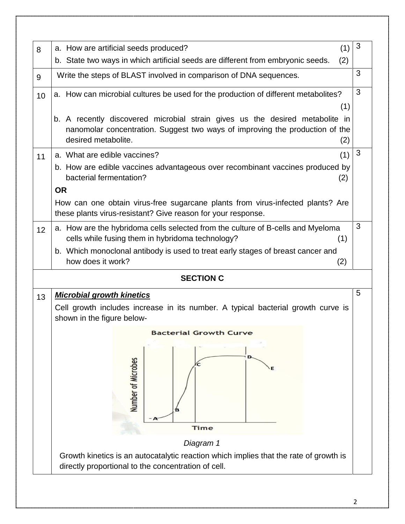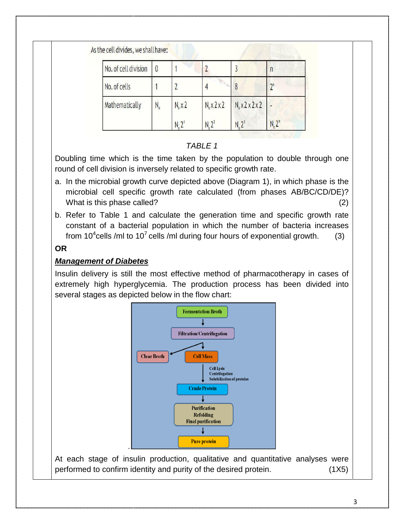| No. of cell division | $\theta$ |                  |                         |                                  |       |
|----------------------|----------|------------------|-------------------------|----------------------------------|-------|
| No. of cells         |          |                  |                         |                                  | $2^n$ |
| Mathematically       | $N_{o}$  | $N_{o} \times 2$ | $N_0 \times 2 \times 2$ | $N_0 \times 2 \times 2 \times 2$ |       |

## *TABLE 1*

Doubling time which is the time taken by the population to double through one round of cell division is inversely related to specific growth rate.

- a. In the microbial growth curve depicted above (Diagram 1), in which phase is the microbial cell specific growth rate calculated (from phases AB/BC/CD/DE)? What is this phase called? (2)
- b. Refer to Table 1 and calculate the generation time and specific growth rate constant of a bacterial population in which the number of bacteria increases from 10<sup>4</sup>cells /ml to 10<sup>7</sup> cells /ml during four hours of exponential growth. (3)

#### **OR**

#### *Management of Diabetes*

Insulin delivery is still the most effective method of pharmacotherapy in cases of extremely high hyperglycemia. The production process has been divided into several stages as depicted below in the flow chart:



At each stage of insulin production, qualitative and quantitative analyses were performed to confirm identity and purity of the desired protein. (1X5)